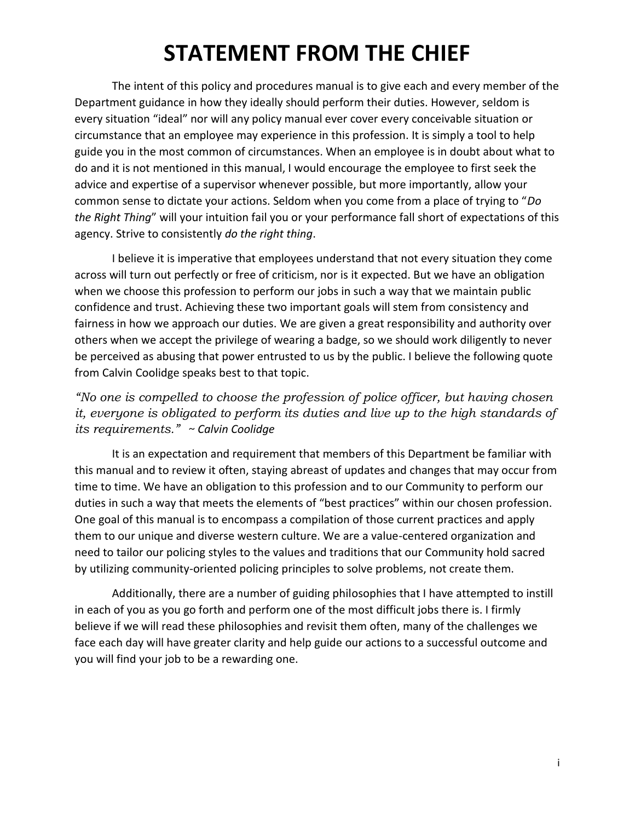## **STATEMENT FROM THE CHIEF**

The intent of this policy and procedures manual is to give each and every member of the Department guidance in how they ideally should perform their duties. However, seldom is every situation "ideal" nor will any policy manual ever cover every conceivable situation or circumstance that an employee may experience in this profession. It is simply a tool to help guide you in the most common of circumstances. When an employee is in doubt about what to do and it is not mentioned in this manual, I would encourage the employee to first seek the advice and expertise of a supervisor whenever possible, but more importantly, allow your common sense to dictate your actions. Seldom when you come from a place of trying to "*Do the Right Thing*" will your intuition fail you or your performance fall short of expectations of this agency. Strive to consistently *do the right thing*.

I believe it is imperative that employees understand that not every situation they come across will turn out perfectly or free of criticism, nor is it expected. But we have an obligation when we choose this profession to perform our jobs in such a way that we maintain public confidence and trust. Achieving these two important goals will stem from consistency and fairness in how we approach our duties. We are given a great responsibility and authority over others when we accept the privilege of wearing a badge, so we should work diligently to never be perceived as abusing that power entrusted to us by the public. I believe the following quote from Calvin Coolidge speaks best to that topic.

## *"No one is compelled to choose the profession of police officer, but having chosen it, everyone is obligated to perform its duties and live up to the high standards of its requirements." ~ Calvin Coolidge*

It is an expectation and requirement that members of this Department be familiar with this manual and to review it often, staying abreast of updates and changes that may occur from time to time. We have an obligation to this profession and to our Community to perform our duties in such a way that meets the elements of "best practices" within our chosen profession. One goal of this manual is to encompass a compilation of those current practices and apply them to our unique and diverse western culture. We are a value-centered organization and need to tailor our policing styles to the values and traditions that our Community hold sacred by utilizing community-oriented policing principles to solve problems, not create them.

Additionally, there are a number of guiding philosophies that I have attempted to instill in each of you as you go forth and perform one of the most difficult jobs there is. I firmly believe if we will read these philosophies and revisit them often, many of the challenges we face each day will have greater clarity and help guide our actions to a successful outcome and you will find your job to be a rewarding one.